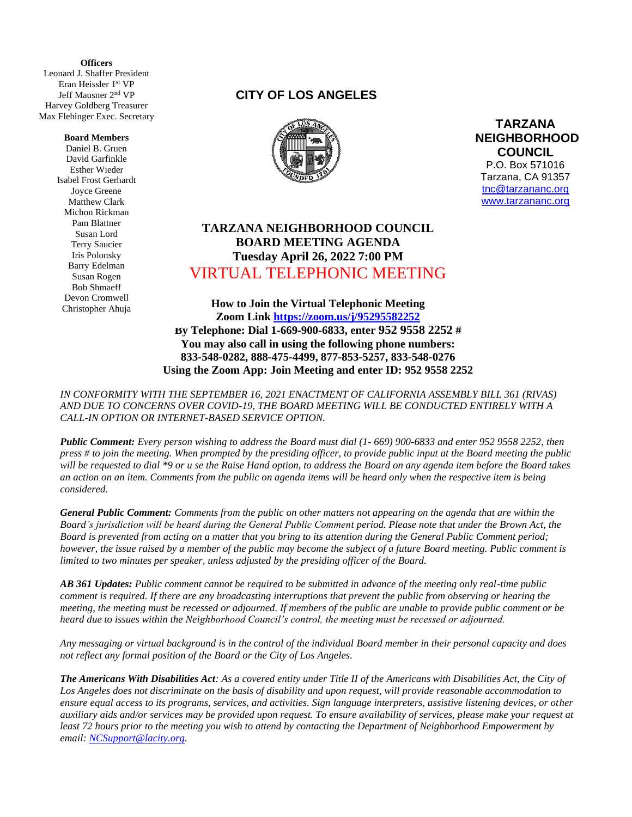**(** Leonard J. Shaffer President **Officers** Eran Heissler 1st VP Jeff Mausner 2 nd VP Harvey Goldberg Treasurer Max Flehinger Exec. Secretary

## **Board Members**

Daniel B. Gruen David Garfinkle Esther Wieder Isabel Frost Gerhardt Joyce Greene Matthew Clark Michon Rickman Pam Blattner Susan Lord Terry Saucier Iris Polonsky Barry Edelman Susan Rogen Bob Shmaeff Devon Cromwell Christopher Ahuja

## **CITY OF LOS ANGELES**



**TARZANA NEIGHBORHOOD COUNCIL**  P.O. Box 571016 Tarzana, CA 91357 [tnc@tarzananc.org](mailto:tnc@tarzananc.org) [www.tarzananc.org](http://www.tarzananc.org/)

## **TARZANA NEIGHBORHOOD COUNCIL BOARD MEETING AGENDA Tuesday April 26, 2022 7:00 PM** VIRTUAL TELEPHONIC MEETING

**How to Join the Virtual Telephonic Meeting Zoom Link<https://zoom.us/j/95295582252> By Telephone: Dial 1-669-900-6833, enter 952 9558 2252 # You may also call in using the following phone numbers: 833-548-0282, 888-475-4499, 877-853-5257, 833-548-0276 Using the Zoom App: Join Meeting and enter ID: 952 9558 2252**

*IN CONFORMITY WITH THE SEPTEMBER 16, 2021 ENACTMENT OF CALIFORNIA ASSEMBLY BILL 361 (RIVAS) AND DUE TO CONCERNS OVER COVID-19, THE BOARD MEETING WILL BE CONDUCTED ENTIRELY WITH A CALL-IN OPTION OR INTERNET-BASED SERVICE OPTION.* 

*Public Comment: Every person wishing to address the Board must dial (1- 669) 900-6833 and enter 952 9558 2252, then press # to join the meeting. When prompted by the presiding officer, to provide public input at the Board meeting the public will be requested to dial \*9 or u se the Raise Hand option, to address the Board on any agenda item before the Board takes an action on an item. Comments from the public on agenda items will be heard only when the respective item is being considered.*

*General Public Comment: Comments from the public on other matters not appearing on the agenda that are within the Board's jurisdiction will be heard during the General Public Comment period. Please note that under the Brown Act, the Board is prevented from acting on a matter that you bring to its attention during the General Public Comment period; however, the issue raised by a member of the public may become the subject of a future Board meeting. Public comment is limited to two minutes per speaker, unless adjusted by the presiding officer of the Board.*

*AB 361 Updates: Public comment cannot be required to be submitted in advance of the meeting only real-time public comment is required. If there are any broadcasting interruptions that prevent the public from observing or hearing the meeting, the meeting must be recessed or adjourned. If members of the public are unable to provide public comment or be heard due to issues within the Neighborhood Council's control, the meeting must be recessed or adjourned.*

*Any messaging or virtual background is in the control of the individual Board member in their personal capacity and does not reflect any formal position of the Board or the City of Los Angeles.*

*The Americans With Disabilities Act: As a covered entity under Title II of the Americans with Disabilities Act, the City of Los Angeles does not discriminate on the basis of disability and upon request, will provide reasonable accommodation to ensure equal access to its programs, services, and activities. Sign language interpreters, assistive listening devices, or other auxiliary aids and/or services may be provided upon request. To ensure availability of services, please make your request at least 72 hours prior to the meeting you wish to attend by contacting the Department of Neighborhood Empowerment by email: [NCSupport@lacity.org.](mailto:NCSupport@lacity.org)*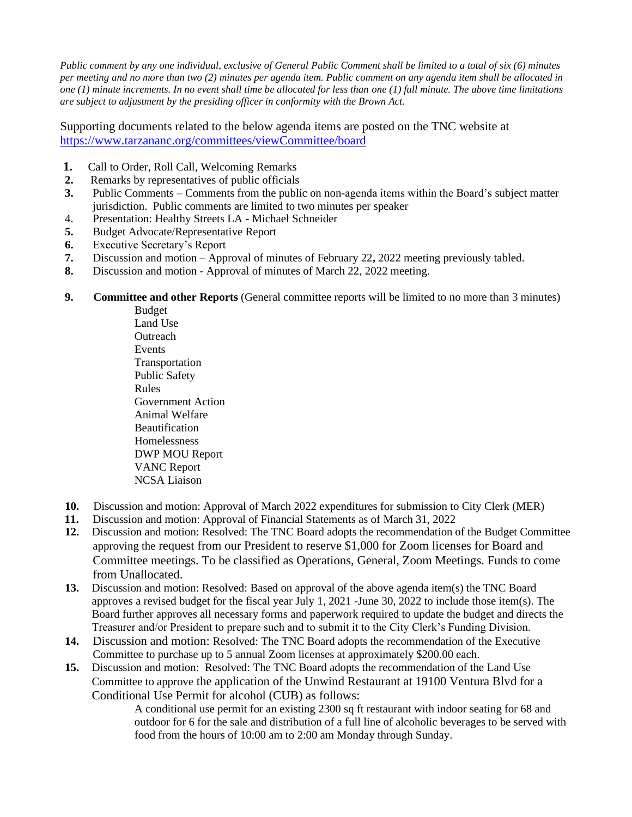*Public comment by any one individual, exclusive of General Public Comment shall be limited to a total of six (6) minutes per meeting and no more than two (2) minutes per agenda item. Public comment on any agenda item shall be allocated in one (1) minute increments. In no event shall time be allocated for less than one (1) full minute. The above time limitations are subject to adjustment by the presiding officer in conformity with the Brown Act.*

Supporting documents related to the below agenda items are posted on the TNC website at <https://www.tarzananc.org/committees/viewCommittee/board>

- **1.** Call to Order, Roll Call, Welcoming Remarks
- **2.** Remarks by representatives of public officials
- **3.** Public Comments Comments from the public on non-agenda items within the Board's subject matter jurisdiction. Public comments are limited to two minutes per speaker
- 4. Presentation: Healthy Streets LA Michael Schneider
- **5.** Budget Advocate/Representative Report
- **6.** Executive Secretary's Report
- **7.** Discussion and motion Approval of minutes of February 22**,** 2022 meeting previously tabled.
- **8.** Discussion and motion Approval of minutes of March 22, 2022 meeting.
- **9. Committee and other Reports** (General committee reports will be limited to no more than 3 minutes)

Budget Land Use **Outreach** Events Transportation Public Safety Rules Government Action Animal Welfare **Beautification** Homelessness DWP MOU Report VANC Report NCSA Liaison

- **10.** Discussion and motion: Approval of March 2022 expenditures for submission to City Clerk (MER)
- **11.** Discussion and motion: Approval of Financial Statements as of March 31, 2022
- **12.** Discussion and motion: Resolved: The TNC Board adopts the recommendation of the Budget Committee approving the request from our President to reserve \$1,000 for Zoom licenses for Board and Committee meetings. To be classified as Operations, General, Zoom Meetings. Funds to come from Unallocated.
- **13.** Discussion and motion: Resolved: Based on approval of the above agenda item(s) the TNC Board approves a revised budget for the fiscal year July 1, 2021 -June 30, 2022 to include those item(s). The Board further approves all necessary forms and paperwork required to update the budget and directs the Treasurer and/or President to prepare such and to submit it to the City Clerk's Funding Division.
- **14.** Discussion and motion: Resolved: The TNC Board adopts the recommendation of the Executive Committee to purchase up to 5 annual Zoom licenses at approximately \$200.00 each.
- **15.** Discussion and motion: Resolved: The TNC Board adopts the recommendation of the Land Use Committee to approve the application of the Unwind Restaurant at 19100 Ventura Blvd for a Conditional Use Permit for alcohol (CUB) as follows:

A conditional use permit for an existing 2300 sq ft restaurant with indoor seating for 68 and outdoor for 6 for the sale and distribution of a full line of alcoholic beverages to be served with food from the hours of 10:00 am to 2:00 am Monday through Sunday.